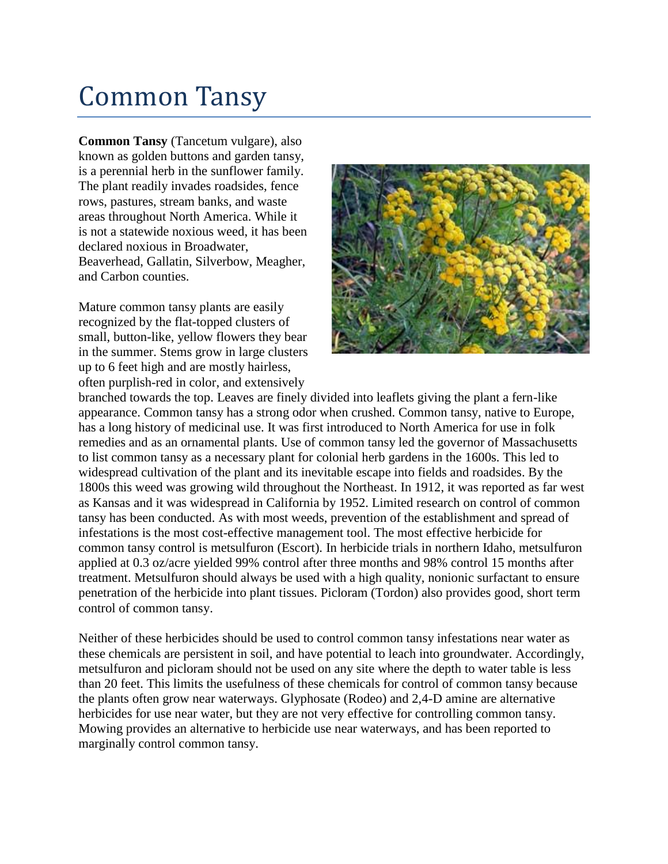## Common Tansy

**Common Tansy** (Tancetum vulgare), also known as golden buttons and garden tansy, is a perennial herb in the sunflower family. The plant readily invades roadsides, fence rows, pastures, stream banks, and waste areas throughout North America. While it is not a statewide noxious weed, it has been declared noxious in Broadwater, Beaverhead, Gallatin, Silverbow, Meagher, and Carbon counties.

Mature common tansy plants are easily recognized by the flat-topped clusters of small, button-like, yellow flowers they bear in the summer. Stems grow in large clusters up to 6 feet high and are mostly hairless, often purplish-red in color, and extensively



branched towards the top. Leaves are finely divided into leaflets giving the plant a fern-like appearance. Common tansy has a strong odor when crushed. Common tansy, native to Europe, has a long history of medicinal use. It was first introduced to North America for use in folk remedies and as an ornamental plants. Use of common tansy led the governor of Massachusetts to list common tansy as a necessary plant for colonial herb gardens in the 1600s. This led to widespread cultivation of the plant and its inevitable escape into fields and roadsides. By the 1800s this weed was growing wild throughout the Northeast. In 1912, it was reported as far west as Kansas and it was widespread in California by 1952. Limited research on control of common tansy has been conducted. As with most weeds, prevention of the establishment and spread of infestations is the most cost-effective management tool. The most effective herbicide for common tansy control is metsulfuron (Escort). In herbicide trials in northern Idaho, metsulfuron applied at 0.3 oz/acre yielded 99% control after three months and 98% control 15 months after treatment. Metsulfuron should always be used with a high quality, nonionic surfactant to ensure penetration of the herbicide into plant tissues. Picloram (Tordon) also provides good, short term control of common tansy.

Neither of these herbicides should be used to control common tansy infestations near water as these chemicals are persistent in soil, and have potential to leach into groundwater. Accordingly, metsulfuron and picloram should not be used on any site where the depth to water table is less than 20 feet. This limits the usefulness of these chemicals for control of common tansy because the plants often grow near waterways. Glyphosate (Rodeo) and 2,4-D amine are alternative herbicides for use near water, but they are not very effective for controlling common tansy. Mowing provides an alternative to herbicide use near waterways, and has been reported to marginally control common tansy.